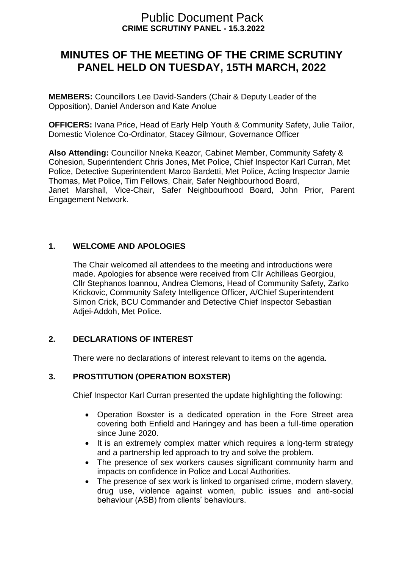# **CRIME SCRUTINY PANEL - 15.3.2022** Public Document Pack

# **MINUTES OF THE MEETING OF THE CRIME SCRUTINY PANEL HELD ON TUESDAY, 15TH MARCH, 2022**

**MEMBERS:** Councillors Lee David-Sanders (Chair & Deputy Leader of the Opposition), Daniel Anderson and Kate Anolue

**OFFICERS:** Ivana Price, Head of Early Help Youth & Community Safety, Julie Tailor, Domestic Violence Co-Ordinator, Stacey Gilmour, Governance Officer

**Also Attending:** Councillor Nneka Keazor, Cabinet Member, Community Safety & Cohesion, Superintendent Chris Jones, Met Police, Chief Inspector Karl Curran, Met Police, Detective Superintendent Marco Bardetti, Met Police, Acting Inspector Jamie Thomas, Met Police, Tim Fellows, Chair, Safer Neighbourhood Board, Janet Marshall, Vice-Chair, Safer Neighbourhood Board, John Prior, Parent Engagement Network.

# **1. WELCOME AND APOLOGIES**

The Chair welcomed all attendees to the meeting and introductions were made. Apologies for absence were received from Cllr Achilleas Georgiou, Cllr Stephanos Ioannou, Andrea Clemons, Head of Community Safety, Zarko Krickovic, Community Safety Intelligence Officer, A/Chief Superintendent Simon Crick, BCU Commander and Detective Chief Inspector Sebastian Adjei-Addoh, Met Police.

# **2. DECLARATIONS OF INTEREST**

There were no declarations of interest relevant to items on the agenda.

#### **3. PROSTITUTION (OPERATION BOXSTER)**

Chief Inspector Karl Curran presented the update highlighting the following:

- Operation Boxster is a dedicated operation in the Fore Street area covering both Enfield and Haringey and has been a full-time operation since June 2020.
- It is an extremely complex matter which requires a long-term strategy and a partnership led approach to try and solve the problem.
- The presence of sex workers causes significant community harm and impacts on confidence in Police and Local Authorities.
- The presence of sex work is linked to organised crime, modern slavery, drug use, violence against women, public issues and anti-social behaviour (ASB) from clients' behaviours.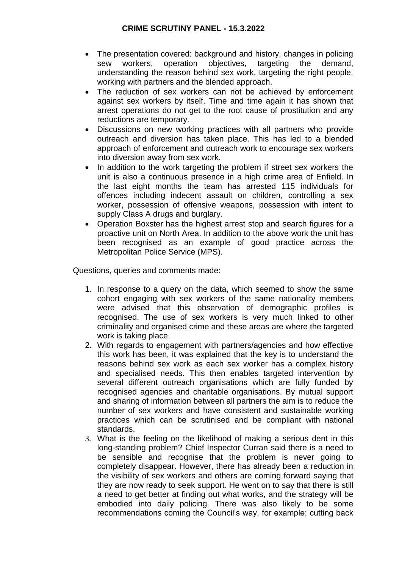- The presentation covered: background and history, changes in policing sew workers, operation objectives, targeting the demand, understanding the reason behind sex work, targeting the right people, working with partners and the blended approach.
- The reduction of sex workers can not be achieved by enforcement against sex workers by itself. Time and time again it has shown that arrest operations do not get to the root cause of prostitution and any reductions are temporary.
- Discussions on new working practices with all partners who provide outreach and diversion has taken place. This has led to a blended approach of enforcement and outreach work to encourage sex workers into diversion away from sex work.
- In addition to the work targeting the problem if street sex workers the unit is also a continuous presence in a high crime area of Enfield. In the last eight months the team has arrested 115 individuals for offences including indecent assault on children, controlling a sex worker, possession of offensive weapons, possession with intent to supply Class A drugs and burglary.
- Operation Boxster has the highest arrest stop and search figures for a proactive unit on North Area. In addition to the above work the unit has been recognised as an example of good practice across the Metropolitan Police Service (MPS).

Questions, queries and comments made:

- 1. In response to a query on the data, which seemed to show the same cohort engaging with sex workers of the same nationality members were advised that this observation of demographic profiles is recognised. The use of sex workers is very much linked to other criminality and organised crime and these areas are where the targeted work is taking place.
- 2. With regards to engagement with partners/agencies and how effective this work has been, it was explained that the key is to understand the reasons behind sex work as each sex worker has a complex history and specialised needs. This then enables targeted intervention by several different outreach organisations which are fully funded by recognised agencies and charitable organisations. By mutual support and sharing of information between all partners the aim is to reduce the number of sex workers and have consistent and sustainable working practices which can be scrutinised and be compliant with national standards.
- 3. What is the feeling on the likelihood of making a serious dent in this long-standing problem? Chief Inspector Curran said there is a need to be sensible and recognise that the problem is never going to completely disappear. However, there has already been a reduction in the visibility of sex workers and others are coming forward saying that they are now ready to seek support. He went on to say that there is still a need to get better at finding out what works, and the strategy will be embodied into daily policing. There was also likely to be some recommendations coming the Council's way, for example; cutting back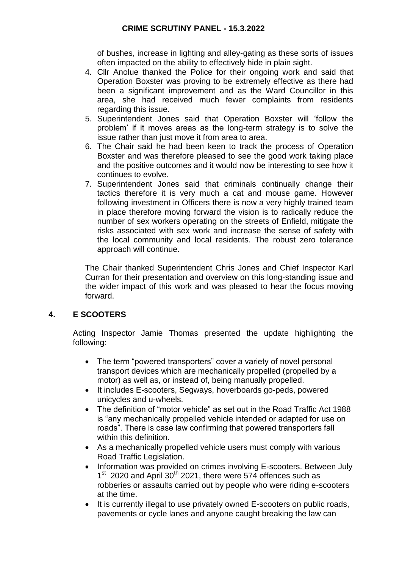of bushes, increase in lighting and alley-gating as these sorts of issues often impacted on the ability to effectively hide in plain sight.

- 4. Cllr Anolue thanked the Police for their ongoing work and said that Operation Boxster was proving to be extremely effective as there had been a significant improvement and as the Ward Councillor in this area, she had received much fewer complaints from residents regarding this issue.
- 5. Superintendent Jones said that Operation Boxster will 'follow the problem' if it moves areas as the long-term strategy is to solve the issue rather than just move it from area to area.
- 6. The Chair said he had been keen to track the process of Operation Boxster and was therefore pleased to see the good work taking place and the positive outcomes and it would now be interesting to see how it continues to evolve.
- 7. Superintendent Jones said that criminals continually change their tactics therefore it is very much a cat and mouse game. However following investment in Officers there is now a very highly trained team in place therefore moving forward the vision is to radically reduce the number of sex workers operating on the streets of Enfield, mitigate the risks associated with sex work and increase the sense of safety with the local community and local residents. The robust zero tolerance approach will continue.

The Chair thanked Superintendent Chris Jones and Chief Inspector Karl Curran for their presentation and overview on this long-standing issue and the wider impact of this work and was pleased to hear the focus moving forward.

# **4. E SCOOTERS**

Acting Inspector Jamie Thomas presented the update highlighting the following:

- The term "powered transporters" cover a variety of novel personal transport devices which are mechanically propelled (propelled by a motor) as well as, or instead of, being manually propelled.
- It includes E-scooters, Segways, hoverboards go-peds, powered unicycles and u-wheels.
- The definition of "motor vehicle" as set out in the Road Traffic Act 1988 is "any mechanically propelled vehicle intended or adapted for use on roads". There is case law confirming that powered transporters fall within this definition.
- As a mechanically propelled vehicle users must comply with various Road Traffic Legislation.
- Information was provided on crimes involving E-scooters. Between July 1<sup>st</sup> 2020 and April 30<sup>th</sup> 2021, there were 574 offences such as robberies or assaults carried out by people who were riding e-scooters at the time.
- It is currently illegal to use privately owned E-scooters on public roads, pavements or cycle lanes and anyone caught breaking the law can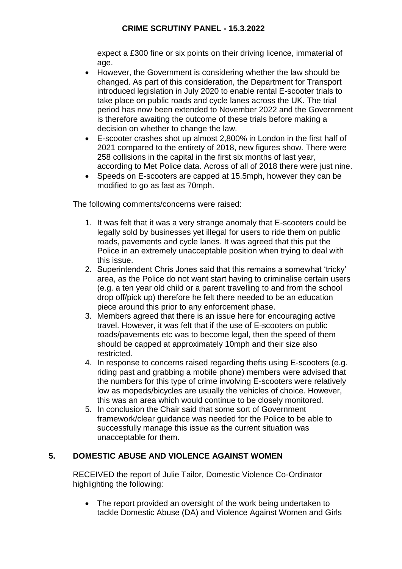expect a £300 fine or six points on their driving licence, immaterial of age.

- However, the Government is considering whether the law should be changed. As part of this consideration, the Department for Transport introduced legislation in July 2020 to enable rental E-scooter trials to take place on public roads and cycle lanes across the UK. The trial period has now been extended to November 2022 and the Government is therefore awaiting the outcome of these trials before making a decision on whether to change the law.
- E-scooter crashes shot up almost 2,800% in London in the first half of 2021 compared to the entirety of 2018, new figures show. There were 258 collisions in the capital in the first six months of last year, according to Met Police data. Across of all of 2018 there were just nine.
- Speeds on E-scooters are capped at 15.5mph, however they can be modified to go as fast as 70mph.

The following comments/concerns were raised:

- 1. It was felt that it was a very strange anomaly that E-scooters could be legally sold by businesses yet illegal for users to ride them on public roads, pavements and cycle lanes. It was agreed that this put the Police in an extremely unacceptable position when trying to deal with this issue.
- 2. Superintendent Chris Jones said that this remains a somewhat 'tricky' area, as the Police do not want start having to criminalise certain users (e.g. a ten year old child or a parent travelling to and from the school drop off/pick up) therefore he felt there needed to be an education piece around this prior to any enforcement phase.
- 3. Members agreed that there is an issue here for encouraging active travel. However, it was felt that if the use of E-scooters on public roads/pavements etc was to become legal, then the speed of them should be capped at approximately 10mph and their size also restricted.
- 4. In response to concerns raised regarding thefts using E-scooters (e.g. riding past and grabbing a mobile phone) members were advised that the numbers for this type of crime involving E-scooters were relatively low as mopeds/bicycles are usually the vehicles of choice. However, this was an area which would continue to be closely monitored.
- 5. In conclusion the Chair said that some sort of Government framework/clear guidance was needed for the Police to be able to successfully manage this issue as the current situation was unacceptable for them.

# **5. DOMESTIC ABUSE AND VIOLENCE AGAINST WOMEN**

RECEIVED the report of Julie Tailor, Domestic Violence Co-Ordinator highlighting the following:

• The report provided an oversight of the work being undertaken to tackle Domestic Abuse (DA) and Violence Against Women and Girls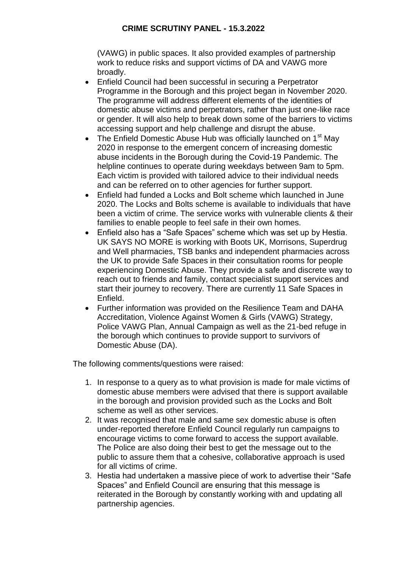#### **CRIME SCRUTINY PANEL - 15.3.2022**

(VAWG) in public spaces. It also provided examples of partnership work to reduce risks and support victims of DA and VAWG more broadly.

- Enfield Council had been successful in securing a Perpetrator Programme in the Borough and this project began in November 2020. The programme will address different elements of the identities of domestic abuse victims and perpetrators, rather than just one-like race or gender. It will also help to break down some of the barriers to victims accessing support and help challenge and disrupt the abuse.
- The Enfield Domestic Abuse Hub was officially launched on 1<sup>st</sup> May 2020 in response to the emergent concern of increasing domestic abuse incidents in the Borough during the Covid-19 Pandemic. The helpline continues to operate during weekdays between 9am to 5pm. Each victim is provided with tailored advice to their individual needs and can be referred on to other agencies for further support.
- Enfield had funded a Locks and Bolt scheme which launched in June 2020. The Locks and Bolts scheme is available to individuals that have been a victim of crime. The service works with vulnerable clients & their families to enable people to feel safe in their own homes.
- Enfield also has a "Safe Spaces" scheme which was set up by Hestia. UK SAYS NO MORE is working with Boots UK, Morrisons, Superdrug and Well pharmacies, TSB banks and independent pharmacies across the UK to provide Safe Spaces in their consultation rooms for people experiencing Domestic Abuse. They provide a safe and discrete way to reach out to friends and family, contact specialist support services and start their journey to recovery. There are currently 11 Safe Spaces in Enfield.
- Further information was provided on the Resilience Team and DAHA Accreditation, Violence Against Women & Girls (VAWG) Strategy, Police VAWG Plan, Annual Campaign as well as the 21-bed refuge in the borough which continues to provide support to survivors of Domestic Abuse (DA).

The following comments/questions were raised:

- 1. In response to a query as to what provision is made for male victims of domestic abuse members were advised that there is support available in the borough and provision provided such as the Locks and Bolt scheme as well as other services.
- 2. It was recognised that male and same sex domestic abuse is often under-reported therefore Enfield Council regularly run campaigns to encourage victims to come forward to access the support available. The Police are also doing their best to get the message out to the public to assure them that a cohesive, collaborative approach is used for all victims of crime.
- 3. Hestia had undertaken a massive piece of work to advertise their "Safe Spaces" and Enfield Council are ensuring that this message is reiterated in the Borough by constantly working with and updating all partnership agencies.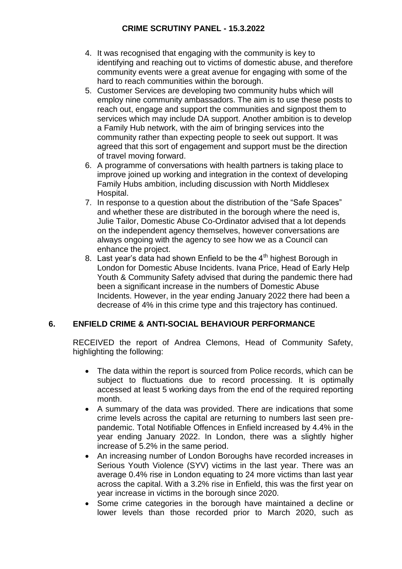# **CRIME SCRUTINY PANEL - 15.3.2022**

- 4. It was recognised that engaging with the community is key to identifying and reaching out to victims of domestic abuse, and therefore community events were a great avenue for engaging with some of the hard to reach communities within the borough.
- 5. Customer Services are developing two community hubs which will employ nine community ambassadors. The aim is to use these posts to reach out, engage and support the communities and signpost them to services which may include DA support. Another ambition is to develop a Family Hub network, with the aim of bringing services into the community rather than expecting people to seek out support. It was agreed that this sort of engagement and support must be the direction of travel moving forward.
- 6. A programme of conversations with health partners is taking place to improve joined up working and integration in the context of developing Family Hubs ambition, including discussion with North Middlesex Hospital.
- 7. In response to a question about the distribution of the "Safe Spaces" and whether these are distributed in the borough where the need is, Julie Tailor, Domestic Abuse Co-Ordinator advised that a lot depends on the independent agency themselves, however conversations are always ongoing with the agency to see how we as a Council can enhance the project.
- 8. Last year's data had shown Enfield to be the 4<sup>th</sup> highest Borough in London for Domestic Abuse Incidents. Ivana Price, Head of Early Help Youth & Community Safety advised that during the pandemic there had been a significant increase in the numbers of Domestic Abuse Incidents. However, in the year ending January 2022 there had been a decrease of 4% in this crime type and this trajectory has continued.

# **6. ENFIELD CRIME & ANTI-SOCIAL BEHAVIOUR PERFORMANCE**

RECEIVED the report of Andrea Clemons, Head of Community Safety, highlighting the following:

- The data within the report is sourced from Police records, which can be subject to fluctuations due to record processing. It is optimally accessed at least 5 working days from the end of the required reporting month.
- A summary of the data was provided. There are indications that some crime levels across the capital are returning to numbers last seen prepandemic. Total Notifiable Offences in Enfield increased by 4.4% in the year ending January 2022. In London, there was a slightly higher increase of 5.2% in the same period.
- An increasing number of London Boroughs have recorded increases in Serious Youth Violence (SYV) victims in the last year. There was an average 0.4% rise in London equating to 24 more victims than last year across the capital. With a 3.2% rise in Enfield, this was the first year on year increase in victims in the borough since 2020.
- Some crime categories in the borough have maintained a decline or lower levels than those recorded prior to March 2020, such as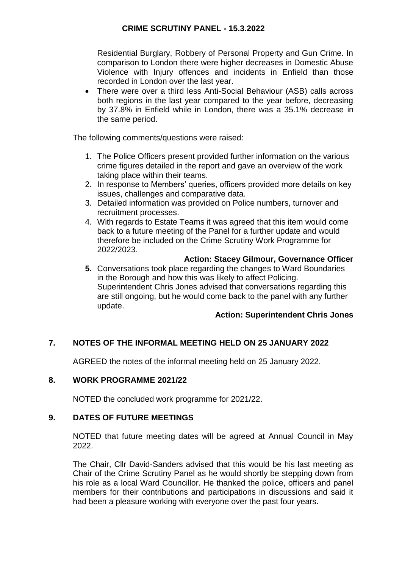Residential Burglary, Robbery of Personal Property and Gun Crime. In comparison to London there were higher decreases in Domestic Abuse Violence with Injury offences and incidents in Enfield than those recorded in London over the last year.

 There were over a third less Anti-Social Behaviour (ASB) calls across both regions in the last year compared to the year before, decreasing by 37.8% in Enfield while in London, there was a 35.1% decrease in the same period.

The following comments/questions were raised:

- 1. The Police Officers present provided further information on the various crime figures detailed in the report and gave an overview of the work taking place within their teams.
- 2. In response to Members' queries, officers provided more details on key issues, challenges and comparative data.
- 3. Detailed information was provided on Police numbers, turnover and recruitment processes.
- 4. With regards to Estate Teams it was agreed that this item would come back to a future meeting of the Panel for a further update and would therefore be included on the Crime Scrutiny Work Programme for 2022/2023.

#### **Action: Stacey Gilmour, Governance Officer**

**5.** Conversations took place regarding the changes to Ward Boundaries in the Borough and how this was likely to affect Policing. Superintendent Chris Jones advised that conversations regarding this are still ongoing, but he would come back to the panel with any further update.

#### **Action: Superintendent Chris Jones**

# **7. NOTES OF THE INFORMAL MEETING HELD ON 25 JANUARY 2022**

AGREED the notes of the informal meeting held on 25 January 2022.

#### **8. WORK PROGRAMME 2021/22**

NOTED the concluded work programme for 2021/22.

#### **9. DATES OF FUTURE MEETINGS**

NOTED that future meeting dates will be agreed at Annual Council in May 2022.

The Chair, Cllr David-Sanders advised that this would be his last meeting as Chair of the Crime Scrutiny Panel as he would shortly be stepping down from his role as a local Ward Councillor. He thanked the police, officers and panel members for their contributions and participations in discussions and said it had been a pleasure working with everyone over the past four years.